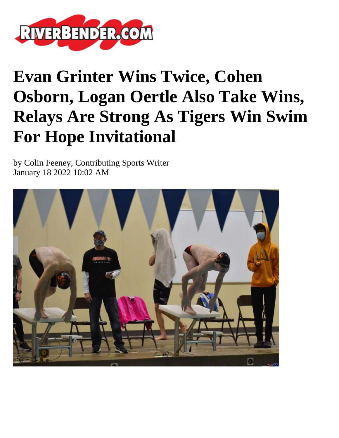

## **Evan Grinter Wins Twice, Cohen Osborn, Logan Oertle Also Take Wins, Relays Are Strong As Tigers Win Swim For Hope Invitational**

by Colin Feeney, Contributing Sports Writer January 18 2022 10:02 AM

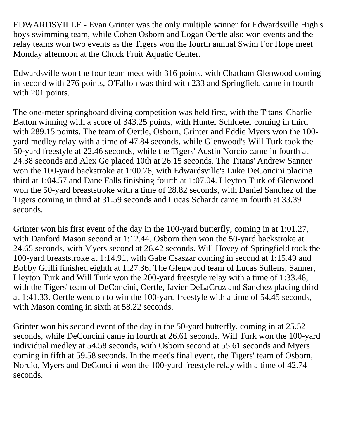EDWARDSVILLE - Evan Grinter was the only multiple winner for Edwardsville High's boys swimming team, while Cohen Osborn and Logan Oertle also won events and the relay teams won two events as the Tigers won the fourth annual Swim For Hope meet Monday afternoon at the Chuck Fruit Aquatic Center.

Edwardsville won the four team meet with 316 points, with Chatham Glenwood coming in second with 276 points, O'Fallon was third with 233 and Springfield came in fourth with 201 points.

The one-meter springboard diving competition was held first, with the Titans' Charlie Batton winning with a score of 343.25 points, with Hunter Schlueter coming in third with 289.15 points. The team of Oertle, Osborn, Grinter and Eddie Myers won the 100 yard medley relay with a time of 47.84 seconds, while Glenwood's Will Turk took the 50-yard freestyle at 22.46 seconds, while the Tigers' Austin Norcio came in fourth at 24.38 seconds and Alex Ge placed 10th at 26.15 seconds. The Titans' Andrew Sanner won the 100-yard backstroke at 1:00.76, with Edwardsville's Luke DeConcini placing third at 1:04.57 and Dane Falls finishing fourth at 1:07.04. Lleyton Turk of Glenwood won the 50-yard breaststroke with a time of 28.82 seconds, with Daniel Sanchez of the Tigers coming in third at 31.59 seconds and Lucas Schardt came in fourth at 33.39 seconds.

Grinter won his first event of the day in the 100-yard butterfly, coming in at 1:01.27, with Danford Mason second at 1:12.44. Osborn then won the 50-yard backstroke at 24.65 seconds, with Myers second at 26.42 seconds. Will Hovey of Springfield took the 100-yard breaststroke at 1:14.91, with Gabe Csaszar coming in second at 1:15.49 and Bobby Grilli finished eighth at 1:27.36. The Glenwood team of Lucas Sullens, Sanner, Lleyton Turk and Will Turk won the 200-yard freestyle relay with a time of 1:33.48, with the Tigers' team of DeConcini, Oertle, Javier DeLaCruz and Sanchez placing third at 1:41.33. Oertle went on to win the 100-yard freestyle with a time of 54.45 seconds, with Mason coming in sixth at 58.22 seconds.

Grinter won his second event of the day in the 50-yard butterfly, coming in at 25.52 seconds, while DeConcini came in fourth at 26.61 seconds. Will Turk won the 100-yard individual medley at 54.58 seconds, with Osborn second at 55.61 seconds and Myers coming in fifth at 59.58 seconds. In the meet's final event, the Tigers' team of Osborn, Norcio, Myers and DeConcini won the 100-yard freestyle relay with a time of 42.74 seconds.